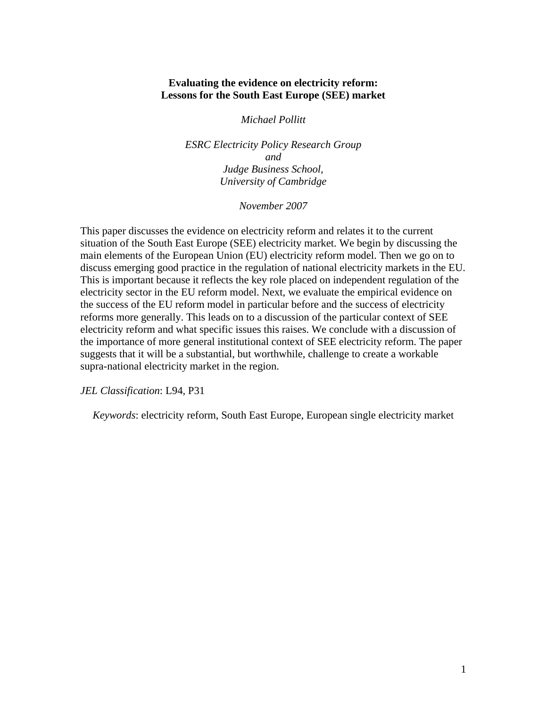#### **Evaluating the evidence on electricity reform: Lessons for the South East Europe (SEE) market**

*Michael Pollitt* 

*ESRC Electricity Policy Research Group and Judge Business School, University of Cambridge* 

*November 2007*

This paper discusses the evidence on electricity reform and relates it to the current situation of the South East Europe (SEE) electricity market. We begin by discussing the main elements of the European Union (EU) electricity reform model. Then we go on to discuss emerging good practice in the regulation of national electricity markets in the EU. This is important because it reflects the key role placed on independent regulation of the electricity sector in the EU reform model. Next, we evaluate the empirical evidence on the success of the EU reform model in particular before and the success of electricity reforms more generally. This leads on to a discussion of the particular context of SEE electricity reform and what specific issues this raises. We conclude with a discussion of the importance of more general institutional context of SEE electricity reform. The paper suggests that it will be a substantial, but worthwhile, challenge to create a workable supra-national electricity market in the region.

*JEL Classification*: L94, P31

*Keywords*: electricity reform, South East Europe, European single electricity market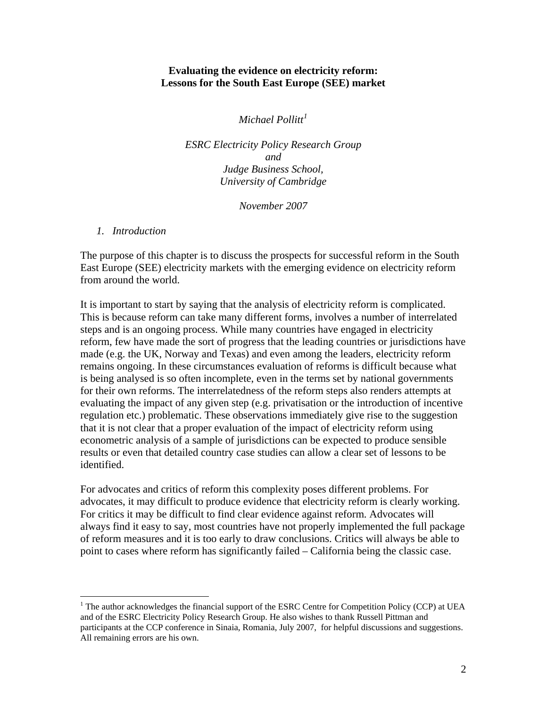#### **Evaluating the evidence on electricity reform: Lessons for the South East Europe (SEE) market**

*Michael Pollitt[1](#page-1-0)*

*ESRC Electricity Policy Research Group and Judge Business School, University of Cambridge* 

*November 2007*

#### *1. Introduction*

 $\overline{a}$ 

The purpose of this chapter is to discuss the prospects for successful reform in the South East Europe (SEE) electricity markets with the emerging evidence on electricity reform from around the world.

It is important to start by saying that the analysis of electricity reform is complicated. This is because reform can take many different forms, involves a number of interrelated steps and is an ongoing process. While many countries have engaged in electricity reform, few have made the sort of progress that the leading countries or jurisdictions have made (e.g. the UK, Norway and Texas) and even among the leaders, electricity reform remains ongoing. In these circumstances evaluation of reforms is difficult because what is being analysed is so often incomplete, even in the terms set by national governments for their own reforms. The interrelatedness of the reform steps also renders attempts at evaluating the impact of any given step (e.g. privatisation or the introduction of incentive regulation etc.) problematic. These observations immediately give rise to the suggestion that it is not clear that a proper evaluation of the impact of electricity reform using econometric analysis of a sample of jurisdictions can be expected to produce sensible results or even that detailed country case studies can allow a clear set of lessons to be identified.

For advocates and critics of reform this complexity poses different problems. For advocates, it may difficult to produce evidence that electricity reform is clearly working. For critics it may be difficult to find clear evidence against reform. Advocates will always find it easy to say, most countries have not properly implemented the full package of reform measures and it is too early to draw conclusions. Critics will always be able to point to cases where reform has significantly failed – California being the classic case.

<span id="page-1-0"></span> $<sup>1</sup>$  The author acknowledges the financial support of the ESRC Centre for Competition Policy (CCP) at UEA</sup> and of the ESRC Electricity Policy Research Group. He also wishes to thank Russell Pittman and participants at the CCP conference in Sinaia, Romania, July 2007, for helpful discussions and suggestions. All remaining errors are his own.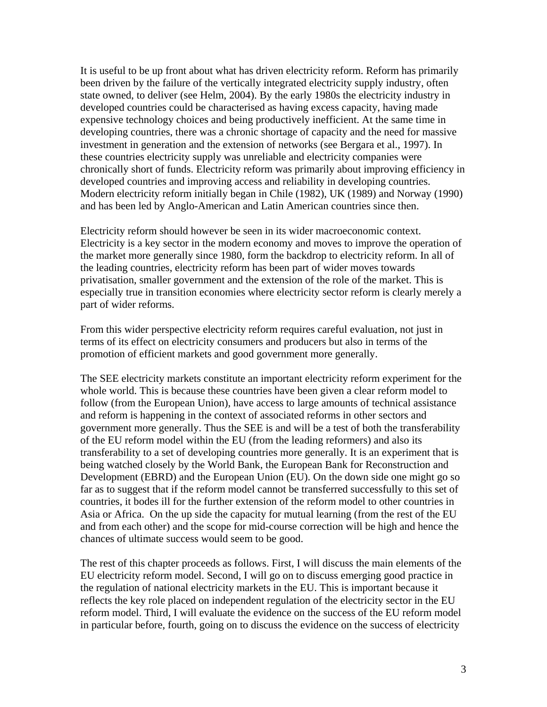It is useful to be up front about what has driven electricity reform. Reform has primarily been driven by the failure of the vertically integrated electricity supply industry, often state owned, to deliver (see Helm, 2004). By the early 1980s the electricity industry in developed countries could be characterised as having excess capacity, having made expensive technology choices and being productively inefficient. At the same time in developing countries, there was a chronic shortage of capacity and the need for massive investment in generation and the extension of networks (see Bergara et al., 1997). In these countries electricity supply was unreliable and electricity companies were chronically short of funds. Electricity reform was primarily about improving efficiency in developed countries and improving access and reliability in developing countries. Modern electricity reform initially began in Chile (1982), UK (1989) and Norway (1990) and has been led by Anglo-American and Latin American countries since then.

Electricity reform should however be seen in its wider macroeconomic context. Electricity is a key sector in the modern economy and moves to improve the operation of the market more generally since 1980, form the backdrop to electricity reform. In all of the leading countries, electricity reform has been part of wider moves towards privatisation, smaller government and the extension of the role of the market. This is especially true in transition economies where electricity sector reform is clearly merely a part of wider reforms.

From this wider perspective electricity reform requires careful evaluation, not just in terms of its effect on electricity consumers and producers but also in terms of the promotion of efficient markets and good government more generally.

The SEE electricity markets constitute an important electricity reform experiment for the whole world. This is because these countries have been given a clear reform model to follow (from the European Union), have access to large amounts of technical assistance and reform is happening in the context of associated reforms in other sectors and government more generally. Thus the SEE is and will be a test of both the transferability of the EU reform model within the EU (from the leading reformers) and also its transferability to a set of developing countries more generally. It is an experiment that is being watched closely by the World Bank, the European Bank for Reconstruction and Development (EBRD) and the European Union (EU). On the down side one might go so far as to suggest that if the reform model cannot be transferred successfully to this set of countries, it bodes ill for the further extension of the reform model to other countries in Asia or Africa. On the up side the capacity for mutual learning (from the rest of the EU and from each other) and the scope for mid-course correction will be high and hence the chances of ultimate success would seem to be good.

The rest of this chapter proceeds as follows. First, I will discuss the main elements of the EU electricity reform model. Second, I will go on to discuss emerging good practice in the regulation of national electricity markets in the EU. This is important because it reflects the key role placed on independent regulation of the electricity sector in the EU reform model. Third, I will evaluate the evidence on the success of the EU reform model in particular before, fourth, going on to discuss the evidence on the success of electricity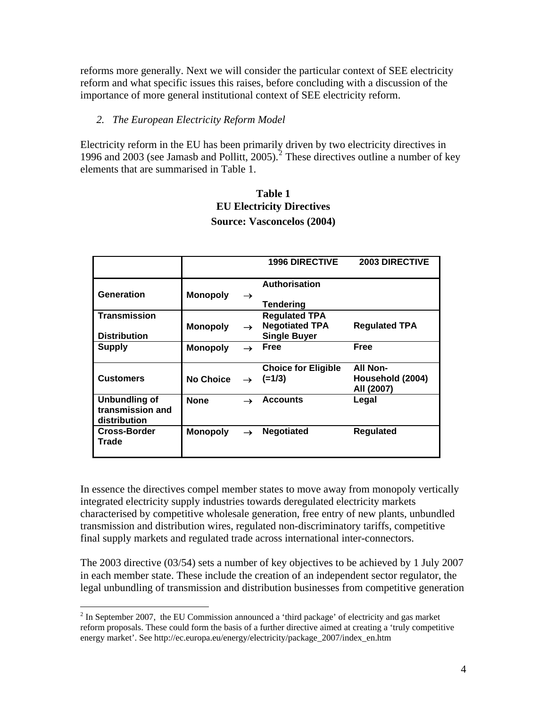reforms more generally. Next we will consider the particular context of SEE electricity reform and what specific issues this raises, before concluding with a discussion of the importance of more general institutional context of SEE electricity reform.

### *2. The European Electricity Reform Model*

Electricity reform in the EU has been primarily driven by two electricity directives in 1996 and [2](#page-3-0)003 (see Jamasb and Pollitt, 2005).<sup>2</sup> These directives outline a number of key elements that are summarised in Table 1.

# **Table 1 EU Electricity Directives Source: Vasconcelos (2004)**

|                                                          |                  |               | <b>1996 DIRECTIVE</b>                                                | <b>2003 DIRECTIVE</b>                             |
|----------------------------------------------------------|------------------|---------------|----------------------------------------------------------------------|---------------------------------------------------|
| Generation                                               | <b>Monopoly</b>  | $\rightarrow$ | <b>Authorisation</b><br><b>Tendering</b>                             |                                                   |
| Transmission<br><b>Distribution</b>                      | <b>Monopoly</b>  | $\rightarrow$ | <b>Regulated TPA</b><br><b>Negotiated TPA</b><br><b>Single Buyer</b> | <b>Regulated TPA</b>                              |
| <b>Supply</b>                                            | <b>Monopoly</b>  | $\rightarrow$ | Free                                                                 | <b>Free</b>                                       |
| <b>Customers</b>                                         | <b>No Choice</b> | $\rightarrow$ | <b>Choice for Eligible</b><br>$(=1/3)$                               | <b>All Non-</b><br>Household (2004)<br>All (2007) |
| <b>Unbundling of</b><br>transmission and<br>distribution | <b>None</b>      | $\rightarrow$ | <b>Accounts</b>                                                      | Legal                                             |
| <b>Cross-Border</b><br>Trade                             | <b>Monopoly</b>  | $\rightarrow$ | <b>Negotiated</b>                                                    | <b>Regulated</b>                                  |

In essence the directives compel member states to move away from monopoly vertically integrated electricity supply industries towards deregulated electricity markets characterised by competitive wholesale generation, free entry of new plants, unbundled transmission and distribution wires, regulated non-discriminatory tariffs, competitive final supply markets and regulated trade across international inter-connectors.

The 2003 directive (03/54) sets a number of key objectives to be achieved by 1 July 2007 in each member state. These include the creation of an independent sector regulator, the legal unbundling of transmission and distribution businesses from competitive generation

<span id="page-3-0"></span> $2$  In September 2007, the EU Commission announced a 'third package' of electricity and gas market reform proposals. These could form the basis of a further directive aimed at creating a 'truly competitive energy market'. See http://ec.europa.eu/energy/electricity/package\_2007/index\_en.htm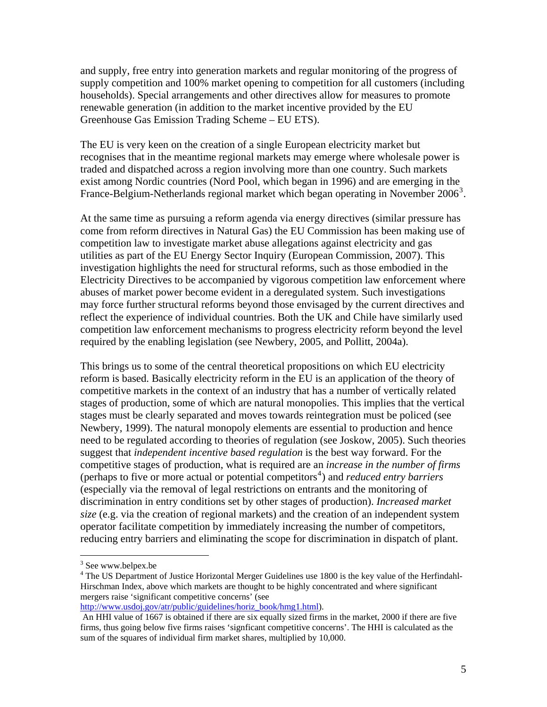and supply, free entry into generation markets and regular monitoring of the progress of supply competition and 100% market opening to competition for all customers (including households). Special arrangements and other directives allow for measures to promote renewable generation (in addition to the market incentive provided by the EU Greenhouse Gas Emission Trading Scheme – EU ETS).

The EU is very keen on the creation of a single European electricity market but recognises that in the meantime regional markets may emerge where wholesale power is traded and dispatched across a region involving more than one country. Such markets exist among Nordic countries (Nord Pool, which began in 1996) and are emerging in the France-Belgium-Netherlands regional market which began operating in November 2006<sup>[3](#page-4-0)</sup>.

At the same time as pursuing a reform agenda via energy directives (similar pressure has come from reform directives in Natural Gas) the EU Commission has been making use of competition law to investigate market abuse allegations against electricity and gas utilities as part of the EU Energy Sector Inquiry (European Commission, 2007). This investigation highlights the need for structural reforms, such as those embodied in the Electricity Directives to be accompanied by vigorous competition law enforcement where abuses of market power become evident in a deregulated system. Such investigations may force further structural reforms beyond those envisaged by the current directives and reflect the experience of individual countries. Both the UK and Chile have similarly used competition law enforcement mechanisms to progress electricity reform beyond the level required by the enabling legislation (see Newbery, 2005, and Pollitt, 2004a).

This brings us to some of the central theoretical propositions on which EU electricity reform is based. Basically electricity reform in the EU is an application of the theory of competitive markets in the context of an industry that has a number of vertically related stages of production, some of which are natural monopolies. This implies that the vertical stages must be clearly separated and moves towards reintegration must be policed (see Newbery, 1999). The natural monopoly elements are essential to production and hence need to be regulated according to theories of regulation (see Joskow, 2005). Such theories suggest that *independent incentive based regulation* is the best way forward. For the competitive stages of production, what is required are an *increase in the number of firms* (perhaps to five or more actual or potential competitors<sup>[4](#page-4-1)</sup>) and *reduced entry barriers* (especially via the removal of legal restrictions on entrants and the monitoring of discrimination in entry conditions set by other stages of production). *Increased market size* (e.g. via the creation of regional markets) and the creation of an independent system operator facilitate competition by immediately increasing the number of competitors, reducing entry barriers and eliminating the scope for discrimination in dispatch of plant.

<span id="page-4-0"></span><sup>&</sup>lt;sup>3</sup> See www.belpex.be

<span id="page-4-1"></span><sup>&</sup>lt;sup>4</sup> The US Department of Justice Horizontal Merger Guidelines use 1800 is the key value of the Herfindahl-Hirschman Index, above which markets are thought to be highly concentrated and where significant mergers raise 'significant competitive concerns' (see [http://www.usdoj.gov/atr/public/guidelines/horiz\\_book/hmg1.html\)](http://www.usdoj.gov/atr/public/guidelines/horiz_book/hmg1.html).

An HHI value of 1667 is obtained if there are six equally sized firms in the market, 2000 if there are five firms, thus going below five firms raises 'signficant competitive concerns'. The HHI is calculated as the sum of the squares of individual firm market shares, multiplied by 10,000.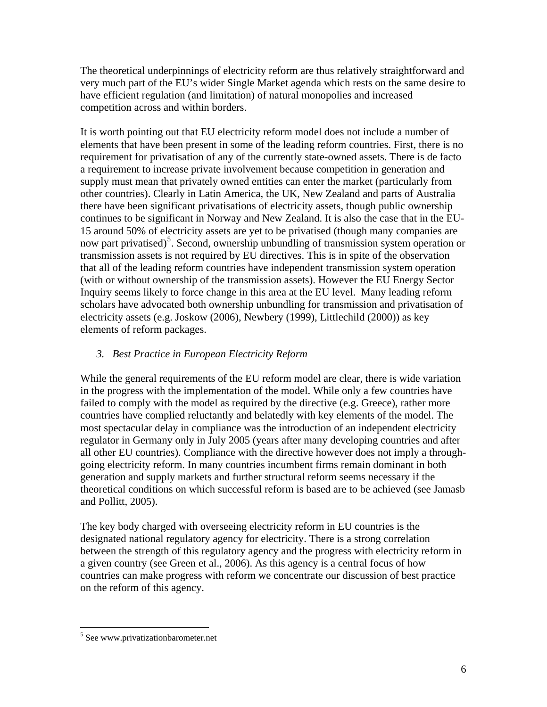The theoretical underpinnings of electricity reform are thus relatively straightforward and very much part of the EU's wider Single Market agenda which rests on the same desire to have efficient regulation (and limitation) of natural monopolies and increased competition across and within borders.

It is worth pointing out that EU electricity reform model does not include a number of elements that have been present in some of the leading reform countries. First, there is no requirement for privatisation of any of the currently state-owned assets. There is de facto a requirement to increase private involvement because competition in generation and supply must mean that privately owned entities can enter the market (particularly from other countries). Clearly in Latin America, the UK, New Zealand and parts of Australia there have been significant privatisations of electricity assets, though public ownership continues to be significant in Norway and New Zealand. It is also the case that in the EU-15 around 50% of electricity assets are yet to be privatised (though many companies are now part privatised)<sup>[5](#page-5-0)</sup>. Second, ownership unbundling of transmission system operation or transmission assets is not required by EU directives. This is in spite of the observation that all of the leading reform countries have independent transmission system operation (with or without ownership of the transmission assets). However the EU Energy Sector Inquiry seems likely to force change in this area at the EU level. Many leading reform scholars have advocated both ownership unbundling for transmission and privatisation of electricity assets (e.g. Joskow (2006), Newbery (1999), Littlechild (2000)) as key elements of reform packages.

# *3. Best Practice in European Electricity Reform*

While the general requirements of the EU reform model are clear, there is wide variation in the progress with the implementation of the model. While only a few countries have failed to comply with the model as required by the directive (e.g. Greece), rather more countries have complied reluctantly and belatedly with key elements of the model. The most spectacular delay in compliance was the introduction of an independent electricity regulator in Germany only in July 2005 (years after many developing countries and after all other EU countries). Compliance with the directive however does not imply a throughgoing electricity reform. In many countries incumbent firms remain dominant in both generation and supply markets and further structural reform seems necessary if the theoretical conditions on which successful reform is based are to be achieved (see Jamasb and Pollitt, 2005).

The key body charged with overseeing electricity reform in EU countries is the designated national regulatory agency for electricity. There is a strong correlation between the strength of this regulatory agency and the progress with electricity reform in a given country (see Green et al., 2006). As this agency is a central focus of how countries can make progress with reform we concentrate our discussion of best practice on the reform of this agency.

<span id="page-5-0"></span><sup>&</sup>lt;sup>5</sup> See www.privatizationbarometer.net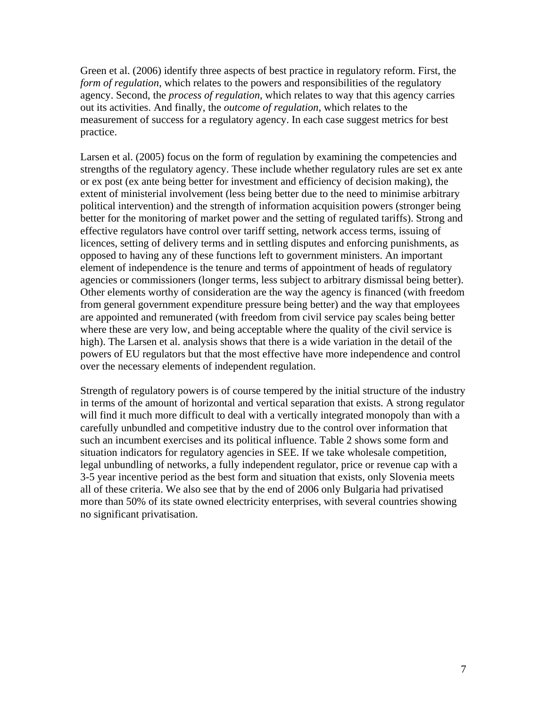Green et al. (2006) identify three aspects of best practice in regulatory reform. First, the *form of regulation*, which relates to the powers and responsibilities of the regulatory agency. Second, the *process of regulation*, which relates to way that this agency carries out its activities. And finally, the *outcome of regulation*, which relates to the measurement of success for a regulatory agency. In each case suggest metrics for best practice.

Larsen et al. (2005) focus on the form of regulation by examining the competencies and strengths of the regulatory agency. These include whether regulatory rules are set ex ante or ex post (ex ante being better for investment and efficiency of decision making), the extent of ministerial involvement (less being better due to the need to minimise arbitrary political intervention) and the strength of information acquisition powers (stronger being better for the monitoring of market power and the setting of regulated tariffs). Strong and effective regulators have control over tariff setting, network access terms, issuing of licences, setting of delivery terms and in settling disputes and enforcing punishments, as opposed to having any of these functions left to government ministers. An important element of independence is the tenure and terms of appointment of heads of regulatory agencies or commissioners (longer terms, less subject to arbitrary dismissal being better). Other elements worthy of consideration are the way the agency is financed (with freedom from general government expenditure pressure being better) and the way that employees are appointed and remunerated (with freedom from civil service pay scales being better where these are very low, and being acceptable where the quality of the civil service is high). The Larsen et al. analysis shows that there is a wide variation in the detail of the powers of EU regulators but that the most effective have more independence and control over the necessary elements of independent regulation.

Strength of regulatory powers is of course tempered by the initial structure of the industry in terms of the amount of horizontal and vertical separation that exists. A strong regulator will find it much more difficult to deal with a vertically integrated monopoly than with a carefully unbundled and competitive industry due to the control over information that such an incumbent exercises and its political influence. Table 2 shows some form and situation indicators for regulatory agencies in SEE. If we take wholesale competition, legal unbundling of networks, a fully independent regulator, price or revenue cap with a 3-5 year incentive period as the best form and situation that exists, only Slovenia meets all of these criteria. We also see that by the end of 2006 only Bulgaria had privatised more than 50% of its state owned electricity enterprises, with several countries showing no significant privatisation.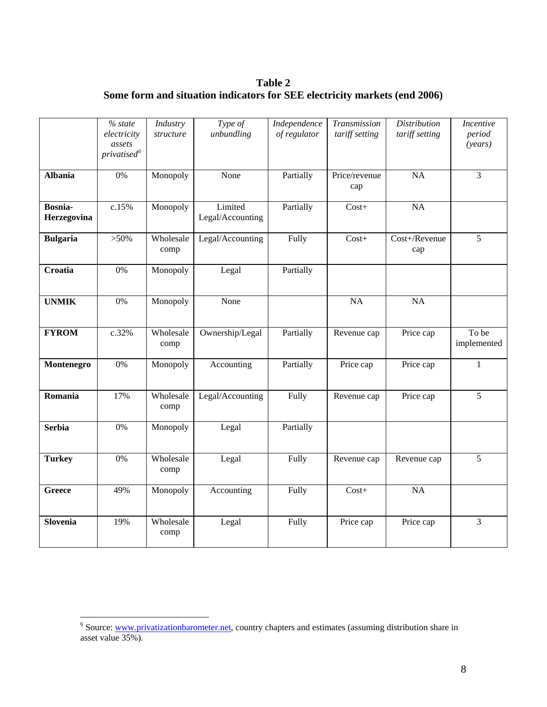**Table 2 Some form and situation indicators for SEE electricity markets (end 2006)** 

|                               | % state<br>electricity<br>assets<br>$\emph{private}^{d}$ | <b>Industry</b><br>structure | Type of<br>unbundling       | Independence<br>of regulator | Transmission<br>tariff setting | <b>Distribution</b><br>tariff setting | Incentive<br>period<br>(years) |
|-------------------------------|----------------------------------------------------------|------------------------------|-----------------------------|------------------------------|--------------------------------|---------------------------------------|--------------------------------|
| <b>Albania</b>                | 0%                                                       | Monopoly                     | None                        | Partially                    | Price/revenue<br>cap           | NA                                    | $\overline{3}$                 |
| <b>Bosnia-</b><br>Herzegovina | c.15%                                                    | Monopoly                     | Limited<br>Legal/Accounting | Partially                    | $Cost+$                        | <b>NA</b>                             |                                |
| <b>Bulgaria</b>               | $>50\%$                                                  | Wholesale<br>comp            | Legal/Accounting            | Fully                        | $Cost+$                        | Cost+/Revenue<br>cap                  | 5                              |
| Croatia                       | 0%                                                       | Monopoly                     | Legal                       | Partially                    |                                |                                       |                                |
| <b>UNMIK</b>                  | 0%                                                       | Monopoly                     | None                        |                              | NA                             | NA                                    |                                |
| <b>FYROM</b>                  | c.32%                                                    | Wholesale<br>comp            | Ownership/Legal             | Partially                    | Revenue cap                    | Price cap                             | To be<br>implemented           |
| Montenegro                    | 0%                                                       | Monopoly                     | Accounting                  | Partially                    | Price cap                      | Price cap                             | $\mathbf{1}$                   |
| Romania                       | 17%                                                      | Wholesale<br>comp            | Legal/Accounting            | Fully                        | Revenue cap                    | Price cap                             | $\overline{5}$                 |
| <b>Serbia</b>                 | 0%                                                       | Monopoly                     | Legal                       | Partially                    |                                |                                       |                                |
| <b>Turkey</b>                 | 0%                                                       | Wholesale<br>comp            | Legal                       | Fully                        | Revenue cap                    | Revenue cap                           | $\sqrt{5}$                     |
| <b>Greece</b>                 | 49%                                                      | Monopoly                     | Accounting                  | Fully                        | $Cost+$                        | <b>NA</b>                             |                                |
| Slovenia                      | 19%                                                      | Wholesale<br>comp            | Legal                       | Fully                        | Price cap                      | Price cap                             | 3                              |

<span id="page-7-0"></span><sup>&</sup>lt;sup>6</sup> Source: [www.privatizationbarometer.net,](http://www.privatizationbarometer.net/) country chapters and estimates (assuming distribution share in asset value 35%).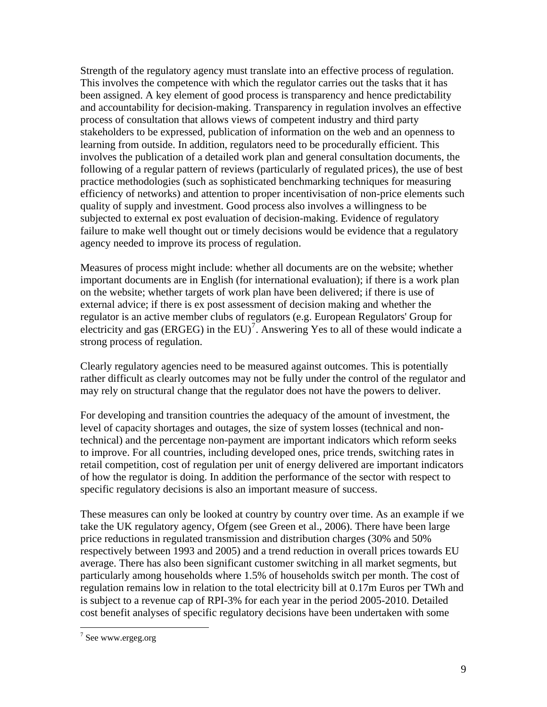Strength of the regulatory agency must translate into an effective process of regulation. This involves the competence with which the regulator carries out the tasks that it has been assigned. A key element of good process is transparency and hence predictability and accountability for decision-making. Transparency in regulation involves an effective process of consultation that allows views of competent industry and third party stakeholders to be expressed, publication of information on the web and an openness to learning from outside. In addition, regulators need to be procedurally efficient. This involves the publication of a detailed work plan and general consultation documents, the following of a regular pattern of reviews (particularly of regulated prices), the use of best practice methodologies (such as sophisticated benchmarking techniques for measuring efficiency of networks) and attention to proper incentivisation of non-price elements such quality of supply and investment. Good process also involves a willingness to be subjected to external ex post evaluation of decision-making. Evidence of regulatory failure to make well thought out or timely decisions would be evidence that a regulatory agency needed to improve its process of regulation.

Measures of process might include: whether all documents are on the website; whether important documents are in English (for international evaluation); if there is a work plan on the website; whether targets of work plan have been delivered; if there is use of external advice; if there is ex post assessment of decision making and whether the regulator is an active member clubs of regulators (e.g. European Regulators' Group for electricity and gas (ERGEG) in the EU)<sup>[7](#page-8-0)</sup>. Answering Yes to all of these would indicate a strong process of regulation.

Clearly regulatory agencies need to be measured against outcomes. This is potentially rather difficult as clearly outcomes may not be fully under the control of the regulator and may rely on structural change that the regulator does not have the powers to deliver.

For developing and transition countries the adequacy of the amount of investment, the level of capacity shortages and outages, the size of system losses (technical and nontechnical) and the percentage non-payment are important indicators which reform seeks to improve. For all countries, including developed ones, price trends, switching rates in retail competition, cost of regulation per unit of energy delivered are important indicators of how the regulator is doing. In addition the performance of the sector with respect to specific regulatory decisions is also an important measure of success.

These measures can only be looked at country by country over time. As an example if we take the UK regulatory agency, Ofgem (see Green et al., 2006). There have been large price reductions in regulated transmission and distribution charges (30% and 50% respectively between 1993 and 2005) and a trend reduction in overall prices towards EU average. There has also been significant customer switching in all market segments, but particularly among households where 1.5% of households switch per month. The cost of regulation remains low in relation to the total electricity bill at 0.17m Euros per TWh and is subject to a revenue cap of RPI-3% for each year in the period 2005-2010. Detailed cost benefit analyses of specific regulatory decisions have been undertaken with some

<span id="page-8-0"></span><sup>&</sup>lt;sup>7</sup> See www.ergeg.org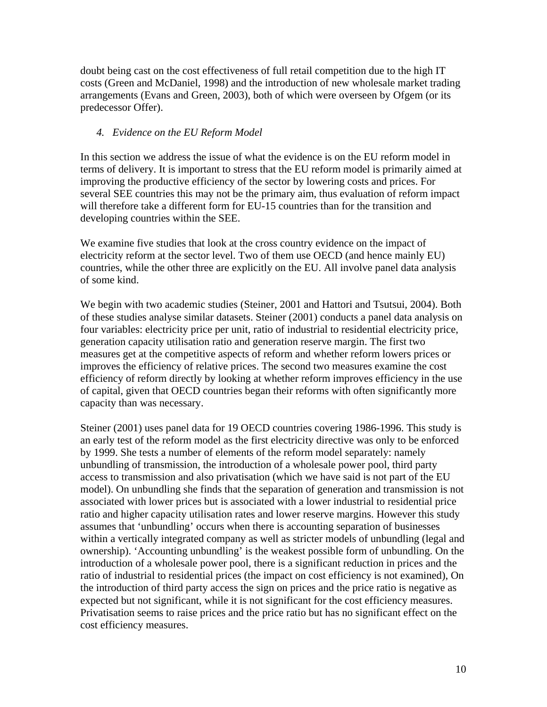doubt being cast on the cost effectiveness of full retail competition due to the high IT costs (Green and McDaniel, 1998) and the introduction of new wholesale market trading arrangements (Evans and Green, 2003), both of which were overseen by Ofgem (or its predecessor Offer).

# *4. Evidence on the EU Reform Model*

In this section we address the issue of what the evidence is on the EU reform model in terms of delivery. It is important to stress that the EU reform model is primarily aimed at improving the productive efficiency of the sector by lowering costs and prices. For several SEE countries this may not be the primary aim, thus evaluation of reform impact will therefore take a different form for EU-15 countries than for the transition and developing countries within the SEE.

We examine five studies that look at the cross country evidence on the impact of electricity reform at the sector level. Two of them use OECD (and hence mainly EU) countries, while the other three are explicitly on the EU. All involve panel data analysis of some kind.

We begin with two academic studies (Steiner, 2001 and Hattori and Tsutsui, 2004). Both of these studies analyse similar datasets. Steiner (2001) conducts a panel data analysis on four variables: electricity price per unit, ratio of industrial to residential electricity price, generation capacity utilisation ratio and generation reserve margin. The first two measures get at the competitive aspects of reform and whether reform lowers prices or improves the efficiency of relative prices. The second two measures examine the cost efficiency of reform directly by looking at whether reform improves efficiency in the use of capital, given that OECD countries began their reforms with often significantly more capacity than was necessary.

Steiner (2001) uses panel data for 19 OECD countries covering 1986-1996. This study is an early test of the reform model as the first electricity directive was only to be enforced by 1999. She tests a number of elements of the reform model separately: namely unbundling of transmission, the introduction of a wholesale power pool, third party access to transmission and also privatisation (which we have said is not part of the EU model). On unbundling she finds that the separation of generation and transmission is not associated with lower prices but is associated with a lower industrial to residential price ratio and higher capacity utilisation rates and lower reserve margins. However this study assumes that 'unbundling' occurs when there is accounting separation of businesses within a vertically integrated company as well as stricter models of unbundling (legal and ownership). 'Accounting unbundling' is the weakest possible form of unbundling. On the introduction of a wholesale power pool, there is a significant reduction in prices and the ratio of industrial to residential prices (the impact on cost efficiency is not examined), On the introduction of third party access the sign on prices and the price ratio is negative as expected but not significant, while it is not significant for the cost efficiency measures. Privatisation seems to raise prices and the price ratio but has no significant effect on the cost efficiency measures.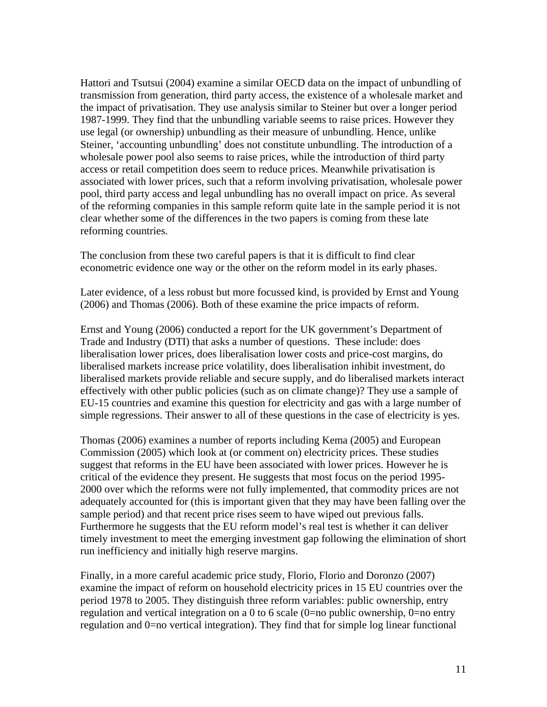Hattori and Tsutsui (2004) examine a similar OECD data on the impact of unbundling of transmission from generation, third party access, the existence of a wholesale market and the impact of privatisation. They use analysis similar to Steiner but over a longer period 1987-1999. They find that the unbundling variable seems to raise prices. However they use legal (or ownership) unbundling as their measure of unbundling. Hence, unlike Steiner, 'accounting unbundling' does not constitute unbundling. The introduction of a wholesale power pool also seems to raise prices, while the introduction of third party access or retail competition does seem to reduce prices. Meanwhile privatisation is associated with lower prices, such that a reform involving privatisation, wholesale power pool, third party access and legal unbundling has no overall impact on price. As several of the reforming companies in this sample reform quite late in the sample period it is not clear whether some of the differences in the two papers is coming from these late reforming countries.

The conclusion from these two careful papers is that it is difficult to find clear econometric evidence one way or the other on the reform model in its early phases.

Later evidence, of a less robust but more focussed kind, is provided by Ernst and Young (2006) and Thomas (2006). Both of these examine the price impacts of reform.

Ernst and Young (2006) conducted a report for the UK government's Department of Trade and Industry (DTI) that asks a number of questions. These include: does liberalisation lower prices, does liberalisation lower costs and price-cost margins, do liberalised markets increase price volatility, does liberalisation inhibit investment, do liberalised markets provide reliable and secure supply, and do liberalised markets interact effectively with other public policies (such as on climate change)? They use a sample of EU-15 countries and examine this question for electricity and gas with a large number of simple regressions. Their answer to all of these questions in the case of electricity is yes.

Thomas (2006) examines a number of reports including Kema (2005) and European Commission (2005) which look at (or comment on) electricity prices. These studies suggest that reforms in the EU have been associated with lower prices. However he is critical of the evidence they present. He suggests that most focus on the period 1995- 2000 over which the reforms were not fully implemented, that commodity prices are not adequately accounted for (this is important given that they may have been falling over the sample period) and that recent price rises seem to have wiped out previous falls. Furthermore he suggests that the EU reform model's real test is whether it can deliver timely investment to meet the emerging investment gap following the elimination of short run inefficiency and initially high reserve margins.

Finally, in a more careful academic price study, Florio, Florio and Doronzo (2007) examine the impact of reform on household electricity prices in 15 EU countries over the period 1978 to 2005. They distinguish three reform variables: public ownership, entry regulation and vertical integration on a 0 to 6 scale (0=no public ownership, 0=no entry regulation and 0=no vertical integration). They find that for simple log linear functional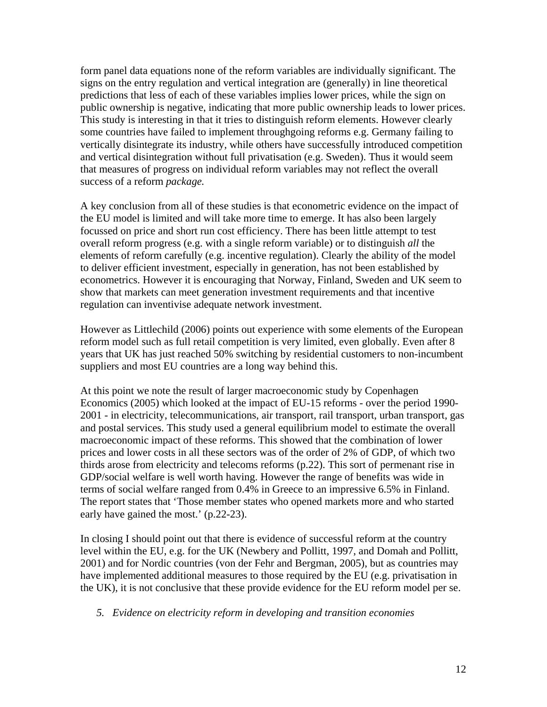form panel data equations none of the reform variables are individually significant. The signs on the entry regulation and vertical integration are (generally) in line theoretical predictions that less of each of these variables implies lower prices, while the sign on public ownership is negative, indicating that more public ownership leads to lower prices. This study is interesting in that it tries to distinguish reform elements. However clearly some countries have failed to implement throughgoing reforms e.g. Germany failing to vertically disintegrate its industry, while others have successfully introduced competition and vertical disintegration without full privatisation (e.g. Sweden). Thus it would seem that measures of progress on individual reform variables may not reflect the overall success of a reform *package.*

A key conclusion from all of these studies is that econometric evidence on the impact of the EU model is limited and will take more time to emerge. It has also been largely focussed on price and short run cost efficiency. There has been little attempt to test overall reform progress (e.g. with a single reform variable) or to distinguish *all* the elements of reform carefully (e.g. incentive regulation). Clearly the ability of the model to deliver efficient investment, especially in generation, has not been established by econometrics. However it is encouraging that Norway, Finland, Sweden and UK seem to show that markets can meet generation investment requirements and that incentive regulation can inventivise adequate network investment.

However as Littlechild (2006) points out experience with some elements of the European reform model such as full retail competition is very limited, even globally. Even after 8 years that UK has just reached 50% switching by residential customers to non-incumbent suppliers and most EU countries are a long way behind this.

At this point we note the result of larger macroeconomic study by Copenhagen Economics (2005) which looked at the impact of EU-15 reforms - over the period 1990- 2001 - in electricity, telecommunications, air transport, rail transport, urban transport, gas and postal services. This study used a general equilibrium model to estimate the overall macroeconomic impact of these reforms. This showed that the combination of lower prices and lower costs in all these sectors was of the order of 2% of GDP, of which two thirds arose from electricity and telecoms reforms (p.22). This sort of permenant rise in GDP/social welfare is well worth having. However the range of benefits was wide in terms of social welfare ranged from 0.4% in Greece to an impressive 6.5% in Finland. The report states that 'Those member states who opened markets more and who started early have gained the most.' (p.22-23).

In closing I should point out that there is evidence of successful reform at the country level within the EU, e.g. for the UK (Newbery and Pollitt, 1997, and Domah and Pollitt, 2001) and for Nordic countries (von der Fehr and Bergman, 2005), but as countries may have implemented additional measures to those required by the EU (e.g. privatisation in the UK), it is not conclusive that these provide evidence for the EU reform model per se.

#### *5. Evidence on electricity reform in developing and transition economies*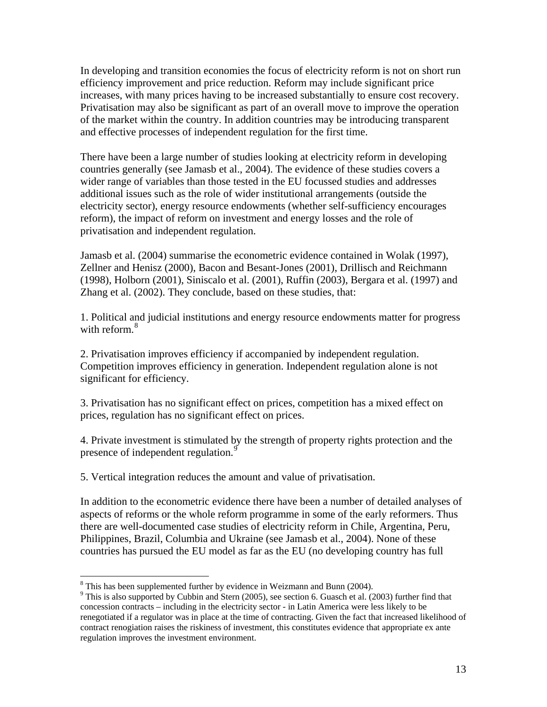In developing and transition economies the focus of electricity reform is not on short run efficiency improvement and price reduction. Reform may include significant price increases, with many prices having to be increased substantially to ensure cost recovery. Privatisation may also be significant as part of an overall move to improve the operation of the market within the country. In addition countries may be introducing transparent and effective processes of independent regulation for the first time.

There have been a large number of studies looking at electricity reform in developing countries generally (see Jamasb et al., 2004). The evidence of these studies covers a wider range of variables than those tested in the EU focussed studies and addresses additional issues such as the role of wider institutional arrangements (outside the electricity sector), energy resource endowments (whether self-sufficiency encourages reform), the impact of reform on investment and energy losses and the role of privatisation and independent regulation.

Jamasb et al. (2004) summarise the econometric evidence contained in Wolak (1997), Zellner and Henisz (2000), Bacon and Besant-Jones (2001), Drillisch and Reichmann (1998), Holborn (2001), Siniscalo et al. (2001), Ruffin (2003), Bergara et al. (1997) and Zhang et al. (2002). They conclude, based on these studies, that:

1. Political and judicial institutions and energy resource endowments matter for progress with reform.<sup>[8](#page-12-0)</sup>

2. Privatisation improves efficiency if accompanied by independent regulation. Competition improves efficiency in generation. Independent regulation alone is not significant for efficiency.

3. Privatisation has no significant effect on prices, competition has a mixed effect on prices, regulation has no significant effect on prices.

4. Private investment is stimulated by the strength of property rights protection and the presence of independent regulation.<sup>[9](#page-12-1)</sup>

5. Vertical integration reduces the amount and value of privatisation.

In addition to the econometric evidence there have been a number of detailed analyses of aspects of reforms or the whole reform programme in some of the early reformers. Thus there are well-documented case studies of electricity reform in Chile, Argentina, Peru, Philippines, Brazil, Columbia and Ukraine (see Jamasb et al., 2004). None of these countries has pursued the EU model as far as the EU (no developing country has full

 $\overline{a}$  $8$  This has been supplemented further by evidence in Weizmann and Bunn (2004).

<span id="page-12-1"></span><span id="page-12-0"></span><sup>&</sup>lt;sup>9</sup> This is also supported by Cubbin and Stern (2005), see section 6. Guasch et al. (2003) further find that concession contracts – including in the electricity sector - in Latin America were less likely to be renegotiated if a regulator was in place at the time of contracting. Given the fact that increased likelihood of contract renogiation raises the riskiness of investment, this constitutes evidence that appropriate ex ante regulation improves the investment environment.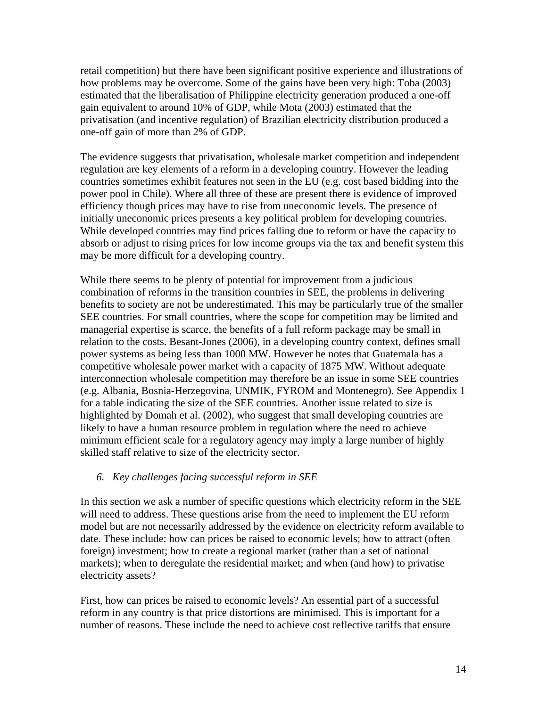retail competition) but there have been significant positive experience and illustrations of how problems may be overcome. Some of the gains have been very high: Toba (2003) estimated that the liberalisation of Philippine electricity generation produced a one-off gain equivalent to around 10% of GDP, while Mota (2003) estimated that the privatisation (and incentive regulation) of Brazilian electricity distribution produced a one-off gain of more than 2% of GDP.

The evidence suggests that privatisation, wholesale market competition and independent regulation are key elements of a reform in a developing country. However the leading countries sometimes exhibit features not seen in the EU (e.g. cost based bidding into the power pool in Chile). Where all three of these are present there is evidence of improved efficiency though prices may have to rise from uneconomic levels. The presence of initially uneconomic prices presents a key political problem for developing countries. While developed countries may find prices falling due to reform or have the capacity to absorb or adjust to rising prices for low income groups via the tax and benefit system this may be more difficult for a developing country.

While there seems to be plenty of potential for improvement from a judicious combination of reforms in the transition countries in SEE, the problems in delivering benefits to society are not be underestimated. This may be particularly true of the smaller SEE countries. For small countries, where the scope for competition may be limited and managerial expertise is scarce, the benefits of a full reform package may be small in relation to the costs. Besant-Jones (2006), in a developing country context, defines small power systems as being less than 1000 MW. However he notes that Guatemala has a competitive wholesale power market with a capacity of 1875 MW. Without adequate interconnection wholesale competition may therefore be an issue in some SEE countries (e.g. Albania, Bosnia-Herzegovina, UNMIK, FYROM and Montenegro). See Appendix 1 for a table indicating the size of the SEE countries. Another issue related to size is highlighted by Domah et al. (2002), who suggest that small developing countries are likely to have a human resource problem in regulation where the need to achieve minimum efficient scale for a regulatory agency may imply a large number of highly skilled staff relative to size of the electricity sector.

#### *6. Key challenges facing successful reform in SEE*

In this section we ask a number of specific questions which electricity reform in the SEE will need to address. These questions arise from the need to implement the EU reform model but are not necessarily addressed by the evidence on electricity reform available to date. These include: how can prices be raised to economic levels; how to attract (often foreign) investment; how to create a regional market (rather than a set of national markets); when to deregulate the residential market; and when (and how) to privatise electricity assets?

First, how can prices be raised to economic levels? An essential part of a successful reform in any country is that price distortions are minimised. This is important for a number of reasons. These include the need to achieve cost reflective tariffs that ensure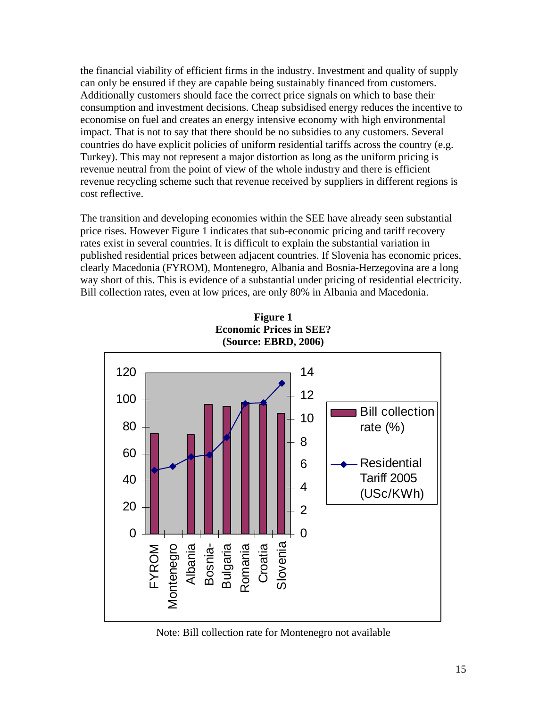the financial viability of efficient firms in the industry. Investment and quality of supply can only be ensured if they are capable being sustainably financed from customers. Additionally customers should face the correct price signals on which to base their consumption and investment decisions. Cheap subsidised energy reduces the incentive to economise on fuel and creates an energy intensive economy with high environmental impact. That is not to say that there should be no subsidies to any customers. Several countries do have explicit policies of uniform residential tariffs across the country (e.g. Turkey). This may not represent a major distortion as long as the uniform pricing is revenue neutral from the point of view of the whole industry and there is efficient revenue recycling scheme such that revenue received by suppliers in different regions is cost reflective.

The transition and developing economies within the SEE have already seen substantial price rises. However Figure 1 indicates that sub-economic pricing and tariff recovery rates exist in several countries. It is difficult to explain the substantial variation in published residential prices between adjacent countries. If Slovenia has economic prices, clearly Macedonia (FYROM), Montenegro, Albania and Bosnia-Herzegovina are a long way short of this. This is evidence of a substantial under pricing of residential electricity. Bill collection rates, even at low prices, are only 80% in Albania and Macedonia.



**Figure 1 Economic Prices in SEE?** 

Note: Bill collection rate for Montenegro not available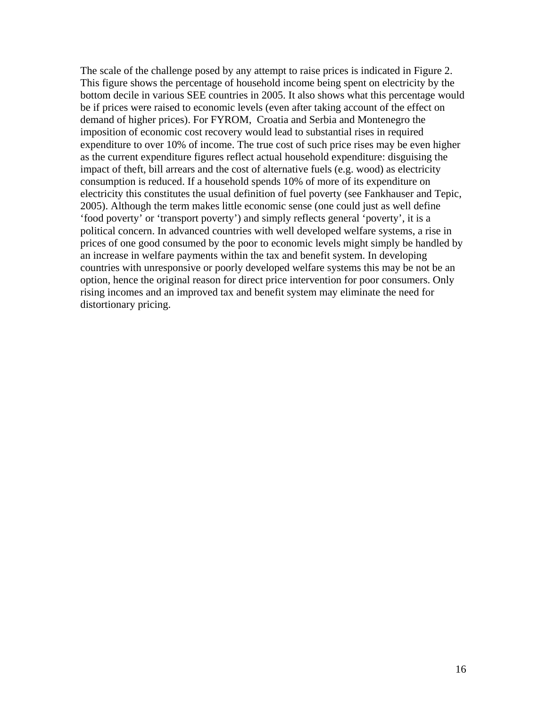The scale of the challenge posed by any attempt to raise prices is indicated in Figure 2. This figure shows the percentage of household income being spent on electricity by the bottom decile in various SEE countries in 2005. It also shows what this percentage would be if prices were raised to economic levels (even after taking account of the effect on demand of higher prices). For FYROM, Croatia and Serbia and Montenegro the imposition of economic cost recovery would lead to substantial rises in required expenditure to over 10% of income. The true cost of such price rises may be even higher as the current expenditure figures reflect actual household expenditure: disguising the impact of theft, bill arrears and the cost of alternative fuels (e.g. wood) as electricity consumption is reduced. If a household spends 10% of more of its expenditure on electricity this constitutes the usual definition of fuel poverty (see Fankhauser and Tepic, 2005). Although the term makes little economic sense (one could just as well define 'food poverty' or 'transport poverty') and simply reflects general 'poverty', it is a political concern. In advanced countries with well developed welfare systems, a rise in prices of one good consumed by the poor to economic levels might simply be handled by an increase in welfare payments within the tax and benefit system. In developing countries with unresponsive or poorly developed welfare systems this may be not be an option, hence the original reason for direct price intervention for poor consumers. Only rising incomes and an improved tax and benefit system may eliminate the need for distortionary pricing.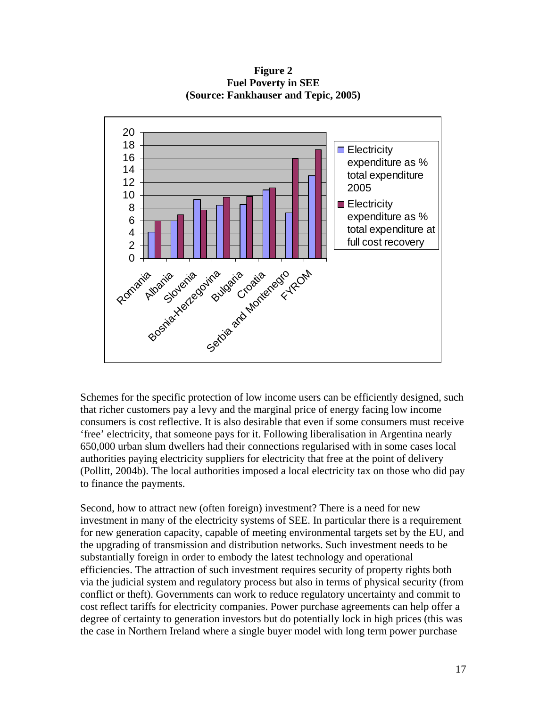

**Figure 2 Fuel Poverty in SEE (Source: Fankhauser and Tepic, 2005)** 

Schemes for the specific protection of low income users can be efficiently designed, such that richer customers pay a levy and the marginal price of energy facing low income consumers is cost reflective. It is also desirable that even if some consumers must receive 'free' electricity, that someone pays for it. Following liberalisation in Argentina nearly 650,000 urban slum dwellers had their connections regularised with in some cases local authorities paying electricity suppliers for electricity that free at the point of delivery (Pollitt, 2004b). The local authorities imposed a local electricity tax on those who did pay to finance the payments.

Second, how to attract new (often foreign) investment? There is a need for new investment in many of the electricity systems of SEE. In particular there is a requirement for new generation capacity, capable of meeting environmental targets set by the EU, and the upgrading of transmission and distribution networks. Such investment needs to be substantially foreign in order to embody the latest technology and operational efficiencies. The attraction of such investment requires security of property rights both via the judicial system and regulatory process but also in terms of physical security (from conflict or theft). Governments can work to reduce regulatory uncertainty and commit to cost reflect tariffs for electricity companies. Power purchase agreements can help offer a degree of certainty to generation investors but do potentially lock in high prices (this was the case in Northern Ireland where a single buyer model with long term power purchase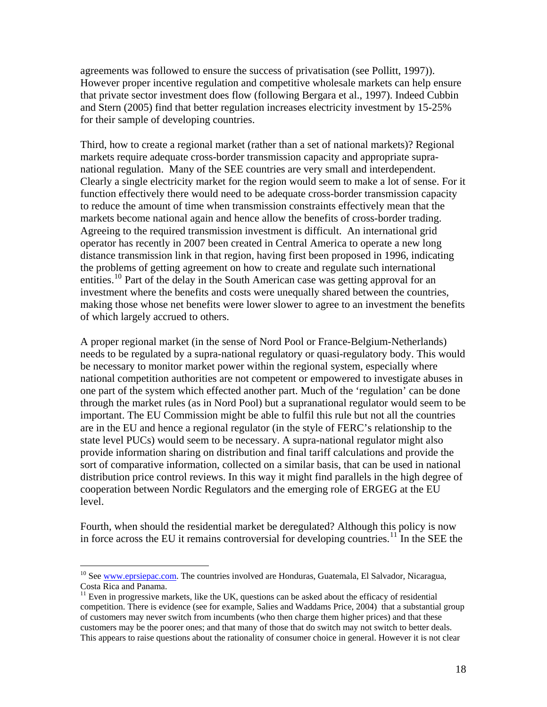agreements was followed to ensure the success of privatisation (see Pollitt, 1997)). However proper incentive regulation and competitive wholesale markets can help ensure that private sector investment does flow (following Bergara et al., 1997). Indeed Cubbin and Stern (2005) find that better regulation increases electricity investment by 15-25% for their sample of developing countries.

Third, how to create a regional market (rather than a set of national markets)? Regional markets require adequate cross-border transmission capacity and appropriate supranational regulation. Many of the SEE countries are very small and interdependent. Clearly a single electricity market for the region would seem to make a lot of sense. For it function effectively there would need to be adequate cross-border transmission capacity to reduce the amount of time when transmission constraints effectively mean that the markets become national again and hence allow the benefits of cross-border trading. Agreeing to the required transmission investment is difficult. An international grid operator has recently in 2007 been created in Central America to operate a new long distance transmission link in that region, having first been proposed in 1996, indicating the problems of getting agreement on how to create and regulate such international entities.<sup>[10](#page-17-0)</sup> Part of the delay in the South American case was getting approval for an investment where the benefits and costs were unequally shared between the countries, making those whose net benefits were lower slower to agree to an investment the benefits of which largely accrued to others.

A proper regional market (in the sense of Nord Pool or France-Belgium-Netherlands) needs to be regulated by a supra-national regulatory or quasi-regulatory body. This would be necessary to monitor market power within the regional system, especially where national competition authorities are not competent or empowered to investigate abuses in one part of the system which effected another part. Much of the 'regulation' can be done through the market rules (as in Nord Pool) but a supranational regulator would seem to be important. The EU Commission might be able to fulfil this rule but not all the countries are in the EU and hence a regional regulator (in the style of FERC's relationship to the state level PUCs) would seem to be necessary. A supra-national regulator might also provide information sharing on distribution and final tariff calculations and provide the sort of comparative information, collected on a similar basis, that can be used in national distribution price control reviews. In this way it might find parallels in the high degree of cooperation between Nordic Regulators and the emerging role of ERGEG at the EU level.

Fourth, when should the residential market be deregulated? Although this policy is now in force across the EU it remains controversial for developing countries.<sup>[11](#page-17-1)</sup> In the SEE the

<span id="page-17-0"></span><sup>&</sup>lt;sup>10</sup> See [www.eprsiepac.com.](http://www.eprsiepac.com/) The countries involved are Honduras, Guatemala, El Salvador, Nicaragua, Costa Rica and Panama.

<span id="page-17-1"></span> $11$  Even in progressive markets, like the UK, questions can be asked about the efficacy of residential competition. There is evidence (see for example, Salies and Waddams Price, 2004) that a substantial group of customers may never switch from incumbents (who then charge them higher prices) and that these customers may be the poorer ones; and that many of those that do switch may not switch to better deals. This appears to raise questions about the rationality of consumer choice in general. However it is not clear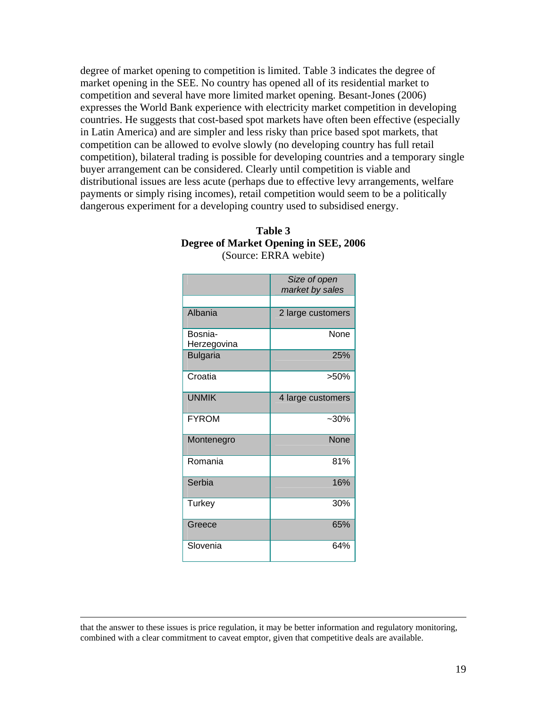degree of market opening to competition is limited. Table 3 indicates the degree of market opening in the SEE. No country has opened all of its residential market to competition and several have more limited market opening. Besant-Jones (2006) expresses the World Bank experience with electricity market competition in developing countries. He suggests that cost-based spot markets have often been effective (especially in Latin America) and are simpler and less risky than price based spot markets, that competition can be allowed to evolve slowly (no developing country has full retail competition), bilateral trading is possible for developing countries and a temporary single buyer arrangement can be considered. Clearly until competition is viable and distributional issues are less acute (perhaps due to effective levy arrangements, welfare payments or simply rising incomes), retail competition would seem to be a politically dangerous experiment for a developing country used to subsidised energy.

|                        | Size of open<br>market by sales |
|------------------------|---------------------------------|
| Albania                | 2 large customers               |
| Bosnia-<br>Herzegovina | None                            |
| <b>Bulgaria</b>        | 25%                             |
| Croatia                | $>50\%$                         |
| <b>UNMIK</b>           | 4 large customers               |
| <b>FYROM</b>           | $-30%$                          |
| Montenegro             | <b>None</b>                     |
| Romania                | 81%                             |
| Serbia                 | 16%                             |
| Turkey                 | 30%                             |
| Greece                 | 65%                             |
| Slovenia               | 64%                             |

#### **Table 3 Degree of Market Opening in SEE, 2006**  (Source: ERRA webite)

that the answer to these issues is price regulation, it may be better information and regulatory monitoring, combined with a clear commitment to caveat emptor, given that competitive deals are available.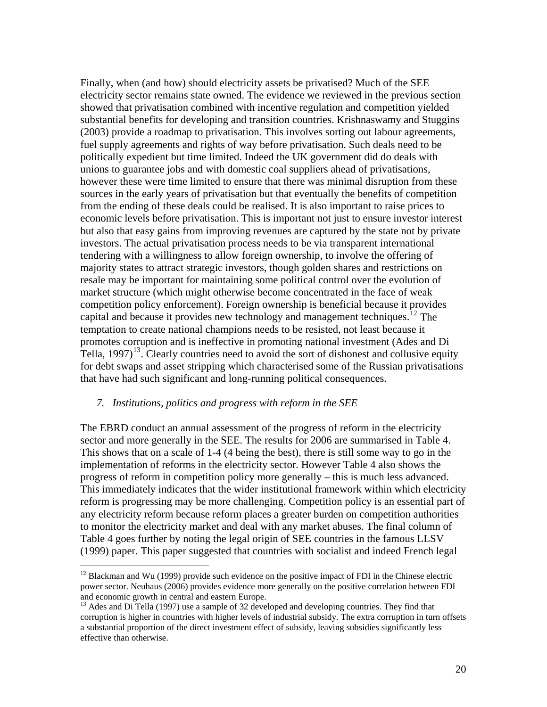Finally, when (and how) should electricity assets be privatised? Much of the SEE electricity sector remains state owned. The evidence we reviewed in the previous section showed that privatisation combined with incentive regulation and competition yielded substantial benefits for developing and transition countries. Krishnaswamy and Stuggins (2003) provide a roadmap to privatisation. This involves sorting out labour agreements, fuel supply agreements and rights of way before privatisation. Such deals need to be politically expedient but time limited. Indeed the UK government did do deals with unions to guarantee jobs and with domestic coal suppliers ahead of privatisations, however these were time limited to ensure that there was minimal disruption from these sources in the early years of privatisation but that eventually the benefits of competition from the ending of these deals could be realised. It is also important to raise prices to economic levels before privatisation. This is important not just to ensure investor interest but also that easy gains from improving revenues are captured by the state not by private investors. The actual privatisation process needs to be via transparent international tendering with a willingness to allow foreign ownership, to involve the offering of majority states to attract strategic investors, though golden shares and restrictions on resale may be important for maintaining some political control over the evolution of market structure (which might otherwise become concentrated in the face of weak competition policy enforcement). Foreign ownership is beneficial because it provides capital and because it provides new technology and management techniques.[12](#page-19-0) The temptation to create national champions needs to be resisted, not least because it promotes corruption and is ineffective in promoting national investment (Ades and Di Tella,  $1997$ <sup>[13](#page-19-1)</sup>. Clearly countries need to avoid the sort of dishonest and collusive equity for debt swaps and asset stripping which characterised some of the Russian privatisations that have had such significant and long-running political consequences.

#### *7. Institutions, politics and progress with reform in the SEE*

 $\overline{a}$ 

The EBRD conduct an annual assessment of the progress of reform in the electricity sector and more generally in the SEE. The results for 2006 are summarised in Table 4. This shows that on a scale of 1-4 (4 being the best), there is still some way to go in the implementation of reforms in the electricity sector. However Table 4 also shows the progress of reform in competition policy more generally – this is much less advanced. This immediately indicates that the wider institutional framework within which electricity reform is progressing may be more challenging. Competition policy is an essential part of any electricity reform because reform places a greater burden on competition authorities to monitor the electricity market and deal with any market abuses. The final column of Table 4 goes further by noting the legal origin of SEE countries in the famous LLSV (1999) paper. This paper suggested that countries with socialist and indeed French legal

<span id="page-19-0"></span> $12$  Blackman and Wu (1999) provide such evidence on the positive impact of FDI in the Chinese electric power sector. Neuhaus (2006) provides evidence more generally on the positive correlation between FDI

<span id="page-19-1"></span><sup>&</sup>lt;sup>13</sup> Ades and Di Tella (1997) use a sample of 32 developed and developing countries. They find that corruption is higher in countries with higher levels of industrial subsidy. The extra corruption in turn offsets a substantial proportion of the direct investment effect of subsidy, leaving subsidies significantly less effective than otherwise.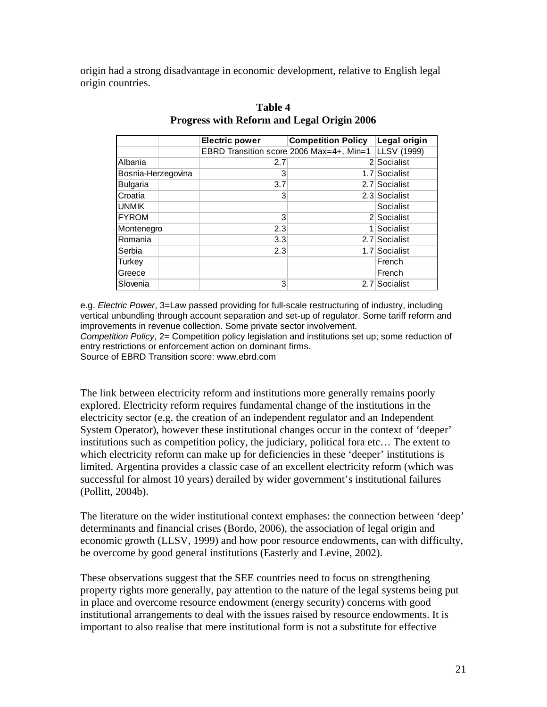origin had a strong disadvantage in economic development, relative to English legal origin countries.

|                    | <b>Electric power</b>                    | <b>Competition Policy</b> | Legal origin  |
|--------------------|------------------------------------------|---------------------------|---------------|
|                    | EBRD Transition score 2006 Max=4+, Min=1 |                           | LLSV (1999)   |
| Albania            | 2.7                                      |                           | 2 Socialist   |
| Bosnia-Herzegovina | 3                                        |                           | 1.7 Socialist |
| <b>Bulgaria</b>    | 3.7                                      |                           | 2.7 Socialist |
| Croatia            | 3                                        |                           | 2.3 Socialist |
| <b>UNMIK</b>       |                                          |                           | Socialist     |
| <b>FYROM</b>       | 3                                        |                           | 2 Socialist   |
| Montenegro         | 2.3                                      | 11                        | Socialist     |
| Romania            | 3.3                                      |                           | 2.7 Socialist |
| Serbia             | 2.3                                      |                           | 1.7 Socialist |
| Turkey             |                                          |                           | French        |
| Greece             |                                          |                           | French        |
| Slovenia           | 3                                        |                           | 2.7 Socialist |

**Table 4 Progress with Reform and Legal Origin 2006**

e.g. *Electric Power*, 3=Law passed providing for full-scale restructuring of industry, including vertical unbundling through account separation and set-up of regulator. Some tariff reform and improvements in revenue collection. Some private sector involvement. *Competition Policy*, 2= Competition policy legislation and institutions set up; some reduction of entry restrictions or enforcement action on dominant firms. Source of EBRD Transition score: www.ebrd.com

The link between electricity reform and institutions more generally remains poorly explored. Electricity reform requires fundamental change of the institutions in the electricity sector (e.g. the creation of an independent regulator and an Independent System Operator), however these institutional changes occur in the context of 'deeper' institutions such as competition policy, the judiciary, political fora etc… The extent to which electricity reform can make up for deficiencies in these 'deeper' institutions is limited. Argentina provides a classic case of an excellent electricity reform (which was successful for almost 10 years) derailed by wider government's institutional failures (Pollitt, 2004b).

The literature on the wider institutional context emphases: the connection between 'deep' determinants and financial crises (Bordo, 2006), the association of legal origin and economic growth (LLSV, 1999) and how poor resource endowments, can with difficulty, be overcome by good general institutions (Easterly and Levine, 2002).

These observations suggest that the SEE countries need to focus on strengthening property rights more generally, pay attention to the nature of the legal systems being put in place and overcome resource endowment (energy security) concerns with good institutional arrangements to deal with the issues raised by resource endowments. It is important to also realise that mere institutional form is not a substitute for effective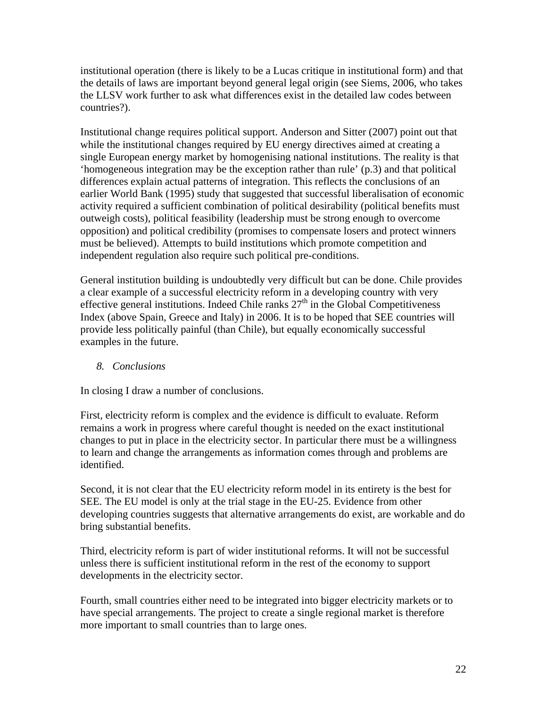institutional operation (there is likely to be a Lucas critique in institutional form) and that the details of laws are important beyond general legal origin (see Siems, 2006, who takes the LLSV work further to ask what differences exist in the detailed law codes between countries?).

Institutional change requires political support. Anderson and Sitter (2007) point out that while the institutional changes required by EU energy directives aimed at creating a single European energy market by homogenising national institutions. The reality is that 'homogeneous integration may be the exception rather than rule' (p.3) and that political differences explain actual patterns of integration. This reflects the conclusions of an earlier World Bank (1995) study that suggested that successful liberalisation of economic activity required a sufficient combination of political desirability (political benefits must outweigh costs), political feasibility (leadership must be strong enough to overcome opposition) and political credibility (promises to compensate losers and protect winners must be believed). Attempts to build institutions which promote competition and independent regulation also require such political pre-conditions.

General institution building is undoubtedly very difficult but can be done. Chile provides a clear example of a successful electricity reform in a developing country with very effective general institutions. Indeed Chile ranks  $27<sup>th</sup>$  in the Global Competitiveness Index (above Spain, Greece and Italy) in 2006. It is to be hoped that SEE countries will provide less politically painful (than Chile), but equally economically successful examples in the future.

# *8. Conclusions*

In closing I draw a number of conclusions.

First, electricity reform is complex and the evidence is difficult to evaluate. Reform remains a work in progress where careful thought is needed on the exact institutional changes to put in place in the electricity sector. In particular there must be a willingness to learn and change the arrangements as information comes through and problems are identified.

Second, it is not clear that the EU electricity reform model in its entirety is the best for SEE. The EU model is only at the trial stage in the EU-25. Evidence from other developing countries suggests that alternative arrangements do exist, are workable and do bring substantial benefits.

Third, electricity reform is part of wider institutional reforms. It will not be successful unless there is sufficient institutional reform in the rest of the economy to support developments in the electricity sector.

Fourth, small countries either need to be integrated into bigger electricity markets or to have special arrangements. The project to create a single regional market is therefore more important to small countries than to large ones.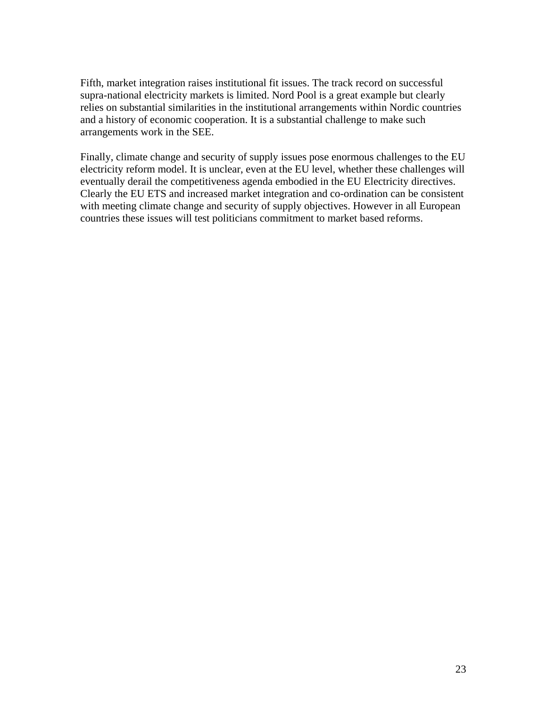Fifth, market integration raises institutional fit issues. The track record on successful supra-national electricity markets is limited. Nord Pool is a great example but clearly relies on substantial similarities in the institutional arrangements within Nordic countries and a history of economic cooperation. It is a substantial challenge to make such arrangements work in the SEE.

Finally, climate change and security of supply issues pose enormous challenges to the EU electricity reform model. It is unclear, even at the EU level, whether these challenges will eventually derail the competitiveness agenda embodied in the EU Electricity directives. Clearly the EU ETS and increased market integration and co-ordination can be consistent with meeting climate change and security of supply objectives. However in all European countries these issues will test politicians commitment to market based reforms.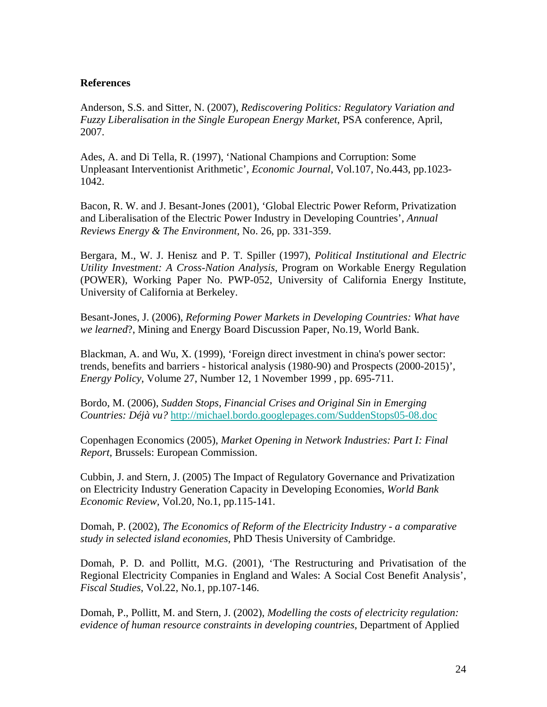#### **References**

Anderson, S.S. and Sitter, N. (2007), *Rediscovering Politics: Regulatory Variation and Fuzzy Liberalisation in the Single European Energy Market*, PSA conference, April, 2007.

Ades, A. and Di Tella, R. (1997), 'National Champions and Corruption: Some Unpleasant Interventionist Arithmetic', *Economic Journal*, Vol.107, No.443, pp.1023- 1042.

Bacon, R. W. and J. Besant-Jones (2001), 'Global Electric Power Reform, Privatization and Liberalisation of the Electric Power Industry in Developing Countries', *Annual Reviews Energy & The Environment*, No. 26, pp. 331-359.

Bergara, M., W. J. Henisz and P. T. Spiller (1997), *Political Institutional and Electric Utility Investment: A Cross-Nation Analysis*, Program on Workable Energy Regulation (POWER), Working Paper No. PWP-052, University of California Energy Institute, University of California at Berkeley.

Besant-Jones, J. (2006), *Reforming Power Markets in Developing Countries: What have we learned*?, Mining and Energy Board Discussion Paper, No.19, World Bank.

Blackman, A. and Wu, X. (1999), 'Foreign direct investment in china's power sector: trends, benefits and barriers - historical analysis (1980-90) and Prospects (2000-2015)', *Energy Policy*, Volume 27, Number 12, 1 November 1999 , pp. 695-711.

Bordo, M. (2006), *Sudden Stops, Financial Crises and Original Sin in Emerging Countries: Déjà vu?* <http://michael.bordo.googlepages.com/SuddenStops05-08.doc>

Copenhagen Economics (2005), *Market Opening in Network Industries: Part I: Final Report*, Brussels: European Commission.

Cubbin, J. and Stern, J. (2005) The Impact of Regulatory Governance and Privatization on Electricity Industry Generation Capacity in Developing Economies, *World Bank Economic Review,* Vol.20, No.1, pp.115-141.

Domah, P. (2002), *The Economics of Reform of the Electricity Industry - a comparative study in selected island economies*, PhD Thesis University of Cambridge.

Domah, P. D. and Pollitt, M.G. (2001), 'The Restructuring and Privatisation of the Regional Electricity Companies in England and Wales: A Social Cost Benefit Analysis', *Fiscal Studies*, Vol.22, No.1, pp.107-146.

Domah, P., Pollitt, M. and Stern, J. (2002), *Modelling the costs of electricity regulation: evidence of human resource constraints in developing countries*, Department of Applied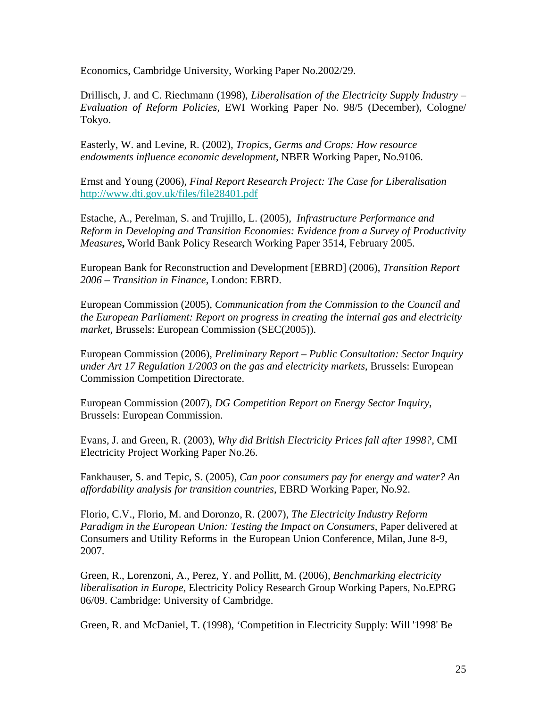Economics, Cambridge University, Working Paper No.2002/29.

Drillisch, J. and C. Riechmann (1998), *Liberalisation of the Electricity Supply Industry – Evaluation of Reform Policies*, EWI Working Paper No. 98/5 (December), Cologne/ Tokyo.

Easterly, W. and Levine, R. (2002), *Tropics, Germs and Crops: How resource endowments influence economic development*, NBER Working Paper, No.9106.

Ernst and Young (2006), *Final Report Research Project: The Case for Liberalisation* <http://www.dti.gov.uk/files/file28401.pdf>

Estache, A., Perelman, S. and Trujillo, L. (2005), *Infrastructure Performance and Reform in Developing and Transition Economies: Evidence from a Survey of Productivity Measures***,** World Bank Policy Research Working Paper 3514, February 2005.

European Bank for Reconstruction and Development [EBRD] (2006), *Transition Report 2006 – Transition in Finance*, London: EBRD.

European Commission (2005), *Communication from the Commission to the Council and the European Parliament: Report on progress in creating the internal gas and electricity market*, Brussels: European Commission (SEC(2005)).

European Commission (2006), *Preliminary Report – Public Consultation: Sector Inquiry under Art 17 Regulation 1/2003 on the gas and electricity markets*, Brussels: European Commission Competition Directorate.

European Commission (2007), *DG Competition Report on Energy Sector Inquiry*, Brussels: European Commission.

Evans, J. and Green, R. (2003), *Why did British Electricity Prices fall after 1998?,* CMI Electricity Project Working Paper No.26.

Fankhauser, S. and Tepic, S. (2005), *Can poor consumers pay for energy and water? An affordability analysis for transition countries*, EBRD Working Paper, No.92.

Florio, C.V., Florio, M. and Doronzo, R. (2007), *The Electricity Industry Reform Paradigm in the European Union: Testing the Impact on Consumers*, Paper delivered at Consumers and Utility Reforms in the European Union Conference, Milan, June 8-9, 2007.

Green, R., Lorenzoni, A., Perez, Y. and Pollitt, M. (2006), *Benchmarking electricity liberalisation in Europe*, Electricity Policy Research Group Working Papers, No.EPRG 06/09. Cambridge: University of Cambridge.

Green, R. and McDaniel, T. (1998), 'Competition in Electricity Supply: Will '1998' Be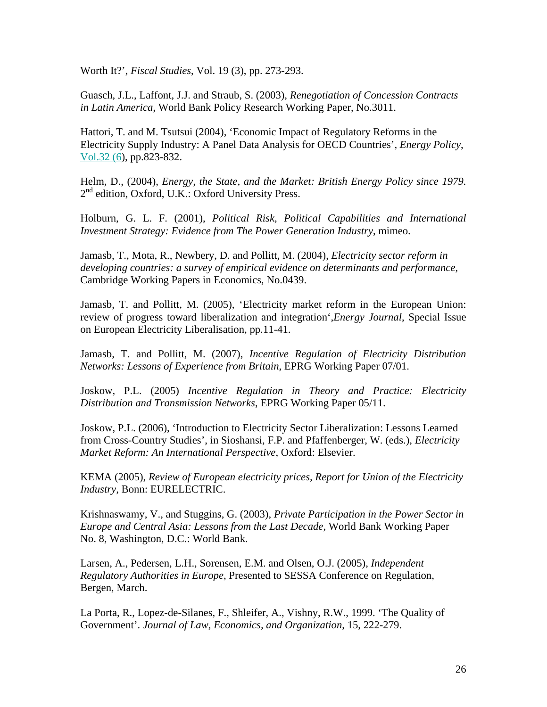Worth It?', *Fiscal Studies*, Vol. 19 (3), pp. 273-293.

Guasch, J.L., Laffont, J.J. and Straub, S. (2003), *Renegotiation of Concession Contracts in Latin America,* World Bank Policy Research Working Paper, No.3011.

Hattori, T. and M. Tsutsui (2004), 'Economic Impact of Regulatory Reforms in the Electricity Supply Industry: A Panel Data Analysis for OECD Countries', *Energy Policy*, [Vol.32 \(6](http://www.sciencedirect.com/science?_ob=PublicationURL&_tockey=%23TOC%235713%232004%23999679993%23463055%23FLA%23&_cdi=5713&_pubType=J&view=c&_auth=y&_acct=C000053194&_version=1&_urlVersion=0&_userid=1495569&md5=b6523a420f4a588a581672aca6cd28e7)), pp.823-832.

Helm, D., (2004), *Energy, the State, and the Market: British Energy Policy since 1979.*  2<sup>nd</sup> edition, Oxford, U.K.: Oxford University Press.

Holburn, G. L. F. (2001), *Political Risk, Political Capabilities and International Investment Strategy: Evidence from The Power Generation Industry*, mimeo.

Jamasb, T., Mota, R., Newbery, D. and Pollitt, M. (2004), *Electricity sector reform in developing countries: a survey of empirical evidence on determinants and performance*, Cambridge Working Papers in Economics, No.0439.

Jamasb, T. and Pollitt, M. (2005), 'Electricity market reform in the European Union: review of progress toward liberalization and integration',*Energy Journal*, Special Issue on European Electricity Liberalisation, pp.11-41.

Jamasb, T. and Pollitt, M. (2007), *Incentive Regulation of Electricity Distribution Networks: Lessons of Experience from Britain*, EPRG Working Paper 07/01.

Joskow, P.L. (2005) *Incentive Regulation in Theory and Practice: Electricity Distribution and Transmission Networks*, EPRG Working Paper 05/11.

Joskow, P.L. (2006), 'Introduction to Electricity Sector Liberalization: Lessons Learned from Cross-Country Studies', in Sioshansi, F.P. and Pfaffenberger, W. (eds.), *Electricity Market Reform: An International Perspective*, Oxford: Elsevier.

KEMA (2005), *Review of European electricity prices, Report for Union of the Electricity Industry*, Bonn: EURELECTRIC.

Krishnaswamy, V., and Stuggins, G. (2003), *Private Participation in the Power Sector in Europe and Central Asia: Lessons from the Last Decade,* World Bank Working Paper No. 8, Washington, D.C.: World Bank.

Larsen, A., Pedersen, L.H., Sorensen, E.M. and Olsen, O.J. (2005), *Independent Regulatory Authorities in Europe*, Presented to SESSA Conference on Regulation, Bergen, March.

La Porta, R., Lopez-de-Silanes, F., Shleifer, A., Vishny, R.W., 1999. 'The Quality of Government'. *Journal of Law, Economics, and Organization*, 15, 222-279.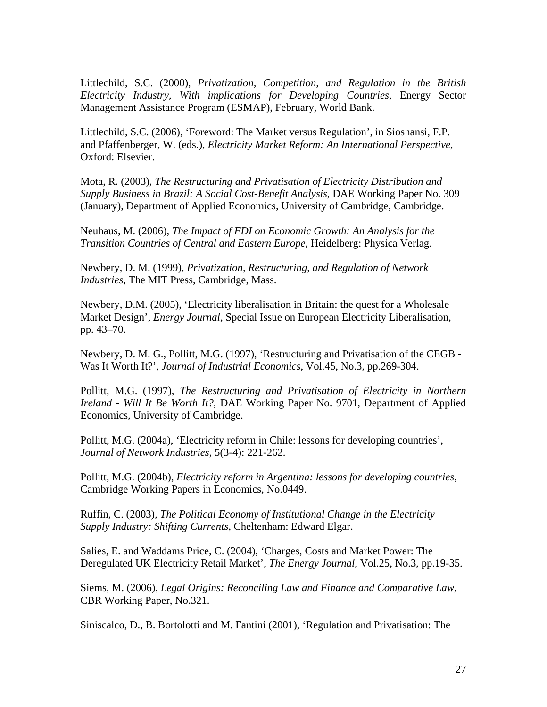Littlechild, S.C. (2000), *Privatization, Competition, and Regulation in the British Electricity Industry, With implications for Developing Countries*, Energy Sector Management Assistance Program (ESMAP), February, World Bank.

Littlechild, S.C. (2006), 'Foreword: The Market versus Regulation', in Sioshansi, F.P. and Pfaffenberger, W. (eds.), *Electricity Market Reform: An International Perspective*, Oxford: Elsevier.

Mota, R. (2003), *The Restructuring and Privatisation of Electricity Distribution and Supply Business in Brazil: A Social Cost-Benefit Analysis*, DAE Working Paper No. 309 (January), Department of Applied Economics, University of Cambridge, Cambridge.

Neuhaus, M. (2006), *The Impact of FDI on Economic Growth: An Analysis for the Transition Countries of Central and Eastern Europe*, Heidelberg: Physica Verlag.

Newbery, D. M. (1999), *Privatization, Restructuring, and Regulation of Network Industries,* The MIT Press, Cambridge, Mass.

Newbery, D.M. (2005), 'Electricity liberalisation in Britain: the quest for a Wholesale Market Design', *Energy Journal*, Special Issue on European Electricity Liberalisation, pp. 43–70.

Newbery, D. M. G., Pollitt, M.G. (1997), 'Restructuring and Privatisation of the CEGB - Was It Worth It?', *Journal of Industrial Economics*, Vol.45, No.3, pp.269-304.

Pollitt, M.G. (1997), *The Restructuring and Privatisation of Electricity in Northern Ireland - Will It Be Worth It?,* DAE Working Paper No. 9701, Department of Applied Economics, University of Cambridge.

Pollitt, M.G. (2004a), 'Electricity reform in Chile: lessons for developing countries', *Journal of Network Industries*, 5(3-4): 221-262.

Pollitt, M.G. (2004b), *Electricity reform in Argentina: lessons for developing countries*, Cambridge Working Papers in Economics, No.0449.

Ruffin, C. (2003), *The Political Economy of Institutional Change in the Electricity Supply Industry: Shifting Currents*, Cheltenham: Edward Elgar.

Salies, E. and Waddams Price, C. (2004), 'Charges, Costs and Market Power: The Deregulated UK Electricity Retail Market', *The Energy Journal*, Vol.25, No.3, pp.19-35.

Siems, M. (2006), *Legal Origins: Reconciling Law and Finance and Comparative Law*, CBR Working Paper, No.321.

Siniscalco, D., B. Bortolotti and M. Fantini (2001), 'Regulation and Privatisation: The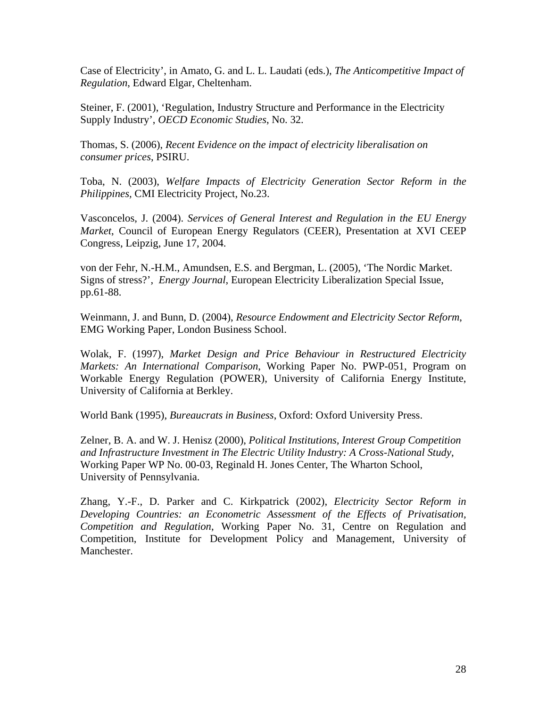Case of Electricity', in Amato, G. and L. L. Laudati (eds.), *The Anticompetitive Impact of Regulation*, Edward Elgar, Cheltenham.

Steiner, F. (2001), 'Regulation, Industry Structure and Performance in the Electricity Supply Industry', *OECD Economic Studies*, No. 32.

Thomas, S. (2006), *Recent Evidence on the impact of electricity liberalisation on consumer prices*, PSIRU.

Toba, N. (2003), *Welfare Impacts of Electricity Generation Sector Reform in the Philippines,* CMI Electricity Project, No.23.

Vasconcelos, J. (2004). *Services of General Interest and Regulation in the EU Energy Market*, Council of European Energy Regulators (CEER), Presentation at XVI CEEP Congress, Leipzig, June 17, 2004.

von der Fehr, N.-H.M., Amundsen, E.S. and Bergman, L. (2005), 'The Nordic Market. Signs of stress?', *Energy Journal*, European Electricity Liberalization Special Issue, pp.61-88.

Weinmann, J. and Bunn, D. (2004), *Resource Endowment and Electricity Sector Reform*, EMG Working Paper, London Business School.

Wolak, F. (1997), *Market Design and Price Behaviour in Restructured Electricity Markets: An International Comparison*, Working Paper No. PWP-051, Program on Workable Energy Regulation (POWER), University of California Energy Institute, University of California at Berkley.

World Bank (1995), *Bureaucrats in Business*, Oxford: Oxford University Press.

Zelner, B. A. and W. J. Henisz (2000), *Political Institutions, Interest Group Competition and Infrastructure Investment in The Electric Utility Industry: A Cross-National Study*, Working Paper WP No. 00-03, Reginald H. Jones Center, The Wharton School, University of Pennsylvania.

Zhang, Y.-F., D. Parker and C. Kirkpatrick (2002), *Electricity Sector Reform in Developing Countries: an Econometric Assessment of the Effects of Privatisation, Competition and Regulation*, Working Paper No. 31, Centre on Regulation and Competition, Institute for Development Policy and Management, University of Manchester.